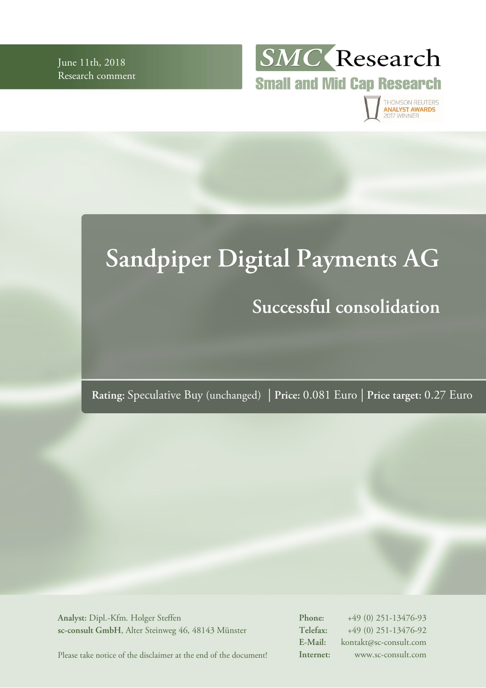June 11th, 2018 Research comment



THOMSON REUTERS<br>**ANALYST AWARDS** 017 WINNER

# **Sandpiper Digital Payments AG Successful consolidation**

**Rating:** Speculative Buy (unchanged) | **Price:** 0.081 Euro | **Price target:** 0.27 Euro

**Analyst:** Dipl.-Kfm. Holger Steffen **sc-consult GmbH**, Alter Steinweg 46, 48143 Münster **Phone:** +49 (0) 251-13476-93 **Telefax:** +49 (0) 251-13476-92 **E-Mail:** kontakt@sc-consult.com **Internet:** www.sc-consult.com

Please take notice of the disclaimer at the end of the document!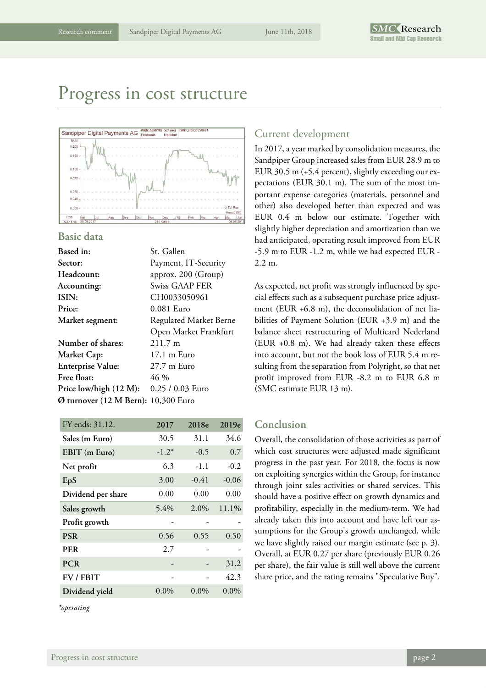## Progress in cost structure



#### **Basic data**

| Based in:                           | St. Gallen             |
|-------------------------------------|------------------------|
| Sector:                             | Payment, IT-Security   |
| Headcount:                          | approx. 200 (Group)    |
| Accounting:                         | Swiss GAAP FER         |
| ISIN:                               | CH0033050961           |
| Price:                              | $0.081$ Euro           |
| <b>Market</b> segment:              | Regulated Market Berne |
|                                     | Open Market Frankfurt  |
| Number of shares:                   | $211.7 \text{ m}$      |
| <b>Market Cap:</b>                  | 17.1 m Euro            |
| <b>Enterprise Value:</b>            | $27.7 \text{ m}$ Euro  |
| Free float:                         | 46 %                   |
| Price low/high (12 M):              | 0.25 / 0.03 Euro       |
| Ø turnover (12 M Bern): 10,300 Euro |                        |
|                                     |                        |

| FY ends: 31.12.    | 2017    | 2018e   | 2019e   |
|--------------------|---------|---------|---------|
| Sales (m Euro)     | 30.5    | 31.1    | 34.6    |
| EBIT (m Euro)      | $-1.2*$ | $-0.5$  | 0.7     |
| Net profit         | 6.3     | $-1.1$  | $-0.2$  |
| EpS                | 3.00    | $-0.41$ | $-0.06$ |
| Dividend per share | 0.00    | 0.00    | 0.00    |
| Sales growth       | 5.4%    | 2.0%    | 11.1%   |
| Profit growth      |         |         |         |
| <b>PSR</b>         | 0.56    | 0.55    | 0.50    |
| <b>PER</b>         | 2.7     |         |         |
| <b>PCR</b>         |         |         | 31.2    |
| EV / EBIT          |         |         | 42.3    |
| Dividend yield     | $0.0\%$ | $0.0\%$ | $0.0\%$ |
|                    |         |         |         |

*\*operating* 

### Current development

In 2017, a year marked by consolidation measures, the Sandpiper Group increased sales from EUR 28.9 m to EUR 30.5 m (+5.4 percent), slightly exceeding our expectations (EUR 30.1 m). The sum of the most important expense categories (materials, personnel and other) also developed better than expected and was EUR 0.4 m below our estimate. Together with slightly higher depreciation and amortization than we had anticipated, operating result improved from EUR -5.9 m to EUR -1.2 m, while we had expected EUR - 2.2 m.

As expected, net profit was strongly influenced by special effects such as a subsequent purchase price adjustment (EUR +6.8 m), the deconsolidation of net liabilities of Payment Solution (EUR +3.9 m) and the balance sheet restructuring of Multicard Nederland (EUR +0.8 m). We had already taken these effects into account, but not the book loss of EUR 5.4 m resulting from the separation from Polyright, so that net profit improved from EUR -8.2 m to EUR 6.8 m (SMC estimate EUR 13 m).

### **Conclusion**

Overall, the consolidation of those activities as part of which cost structures were adjusted made significant progress in the past year. For 2018, the focus is now on exploiting synergies within the Group, for instance through joint sales activities or shared services. This should have a positive effect on growth dynamics and profitability, especially in the medium-term. We had already taken this into account and have left our assumptions for the Group's growth unchanged, while we have slightly raised our margin estimate (see p. 3). Overall, at EUR 0.27 per share (previously EUR 0.26 per share), the fair value is still well above the current share price, and the rating remains "Speculative Buy".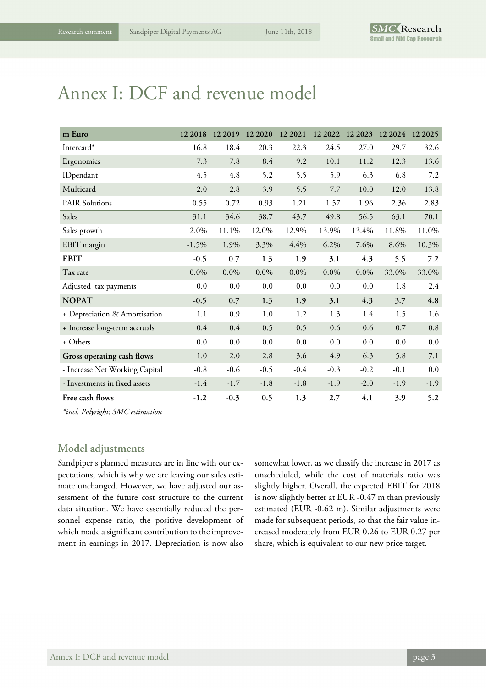# Annex I: DCF and revenue model

| m Euro                         | 12 2018 | 12 2019 | 12 20 20 | 12 2021 | 12 2022 | 12 2023 12 2024 |        | 12 2025 |
|--------------------------------|---------|---------|----------|---------|---------|-----------------|--------|---------|
| Intercard*                     | 16.8    | 18.4    | 20.3     | 22.3    | 24.5    | 27.0            | 29.7   | 32.6    |
| Ergonomics                     | 7.3     | 7.8     | 8.4      | 9.2     | 10.1    | 11.2            | 12.3   | 13.6    |
| IDpendant                      | 4.5     | 4.8     | 5.2      | 5.5     | 5.9     | 6.3             | 6.8    | 7.2     |
| Multicard                      | 2.0     | 2.8     | 3.9      | 5.5     | 7.7     | 10.0            | 12.0   | 13.8    |
| <b>PAIR Solutions</b>          | 0.55    | 0.72    | 0.93     | 1.21    | 1.57    | 1.96            | 2.36   | 2.83    |
| Sales                          | 31.1    | 34.6    | 38.7     | 43.7    | 49.8    | 56.5            | 63.1   | 70.1    |
| Sales growth                   | 2.0%    | 11.1%   | 12.0%    | 12.9%   | 13.9%   | 13.4%           | 11.8%  | 11.0%   |
| EBIT margin                    | $-1.5%$ | 1.9%    | 3.3%     | 4.4%    | 6.2%    | 7.6%            | 8.6%   | 10.3%   |
| <b>EBIT</b>                    | $-0.5$  | 0.7     | 1.3      | 1.9     | 3.1     | 4.3             | 5.5    | 7.2     |
| Tax rate                       | $0.0\%$ | 0.0%    | $0.0\%$  | $0.0\%$ | $0.0\%$ | $0.0\%$         | 33.0%  | 33.0%   |
| Adjusted tax payments          | 0.0     | $0.0\,$ | 0.0      | 0.0     | 0.0     | 0.0             | 1.8    | 2.4     |
| <b>NOPAT</b>                   | $-0.5$  | 0.7     | 1.3      | 1.9     | 3.1     | 4.3             | 3.7    | 4.8     |
| + Depreciation & Amortisation  | 1.1     | 0.9     | 1.0      | 1.2     | 1.3     | 1.4             | 1.5    | 1.6     |
| + Increase long-term accruals  | 0.4     | 0.4     | 0.5      | 0.5     | 0.6     | 0.6             | 0.7    | 0.8     |
| + Others                       | $0.0\,$ | 0.0     | 0.0      | 0.0     | 0.0     | 0.0             | 0.0    | 0.0     |
| Gross operating cash flows     | 1.0     | 2.0     | 2.8      | 3.6     | 4.9     | 6.3             | 5.8    | 7.1     |
| - Increase Net Working Capital | $-0.8$  | $-0.6$  | $-0.5$   | $-0.4$  | $-0.3$  | $-0.2$          | $-0.1$ | 0.0     |
| - Investments in fixed assets  | $-1.4$  | $-1.7$  | $-1.8$   | $-1.8$  | $-1.9$  | $-2.0$          | $-1.9$ | $-1.9$  |
| Free cash flows                | $-1.2$  | $-0.3$  | 0.5      | 1.3     | 2.7     | 4.1             | 3.9    | 5.2     |

*\*incl. Polyright; SMC estimation* 

### **Model adjustments**

Sandpiper's planned measures are in line with our expectations, which is why we are leaving our sales estimate unchanged. However, we have adjusted our assessment of the future cost structure to the current data situation. We have essentially reduced the personnel expense ratio, the positive development of which made a significant contribution to the improvement in earnings in 2017. Depreciation is now also

somewhat lower, as we classify the increase in 2017 as unscheduled, while the cost of materials ratio was slightly higher. Overall, the expected EBIT for 2018 is now slightly better at EUR -0.47 m than previously estimated (EUR -0.62 m). Similar adjustments were made for subsequent periods, so that the fair value increased moderately from EUR 0.26 to EUR 0.27 per share, which is equivalent to our new price target.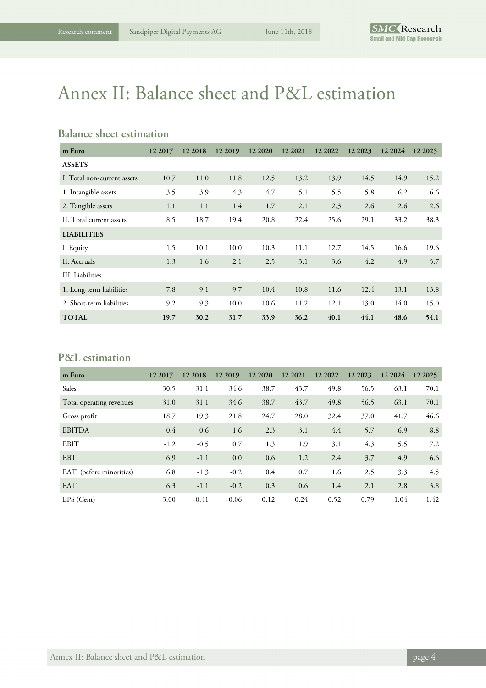# Annex II: Balance sheet and P&L estimation

### **Balance sheet estimation**

| m Euro                      | 12 2017 | 12 2018 | 12 2019 | 12 20 20 | 12 2021 | 12 2022 | 12 2023 | 12 2024 | 12 2025 |
|-----------------------------|---------|---------|---------|----------|---------|---------|---------|---------|---------|
| <b>ASSETS</b>               |         |         |         |          |         |         |         |         |         |
| I. Total non-current assets | 10.7    | 11.0    | 11.8    | 12.5     | 13.2    | 13.9    | 14.5    | 14.9    | 15.2    |
| 1. Intangible assets        | 3.5     | 3.9     | 4.3     | 4.7      | 5.1     | 5.5     | 5.8     | 6.2     | 6.6     |
| 2. Tangible assets          | 1.1     | 1.1     | 1.4     | 1.7      | 2.1     | 2.3     | 2.6     | 2.6     | 2.6     |
| II. Total current assets    | 8.5     | 18.7    | 19.4    | 20.8     | 22.4    | 25.6    | 29.1    | 33.2    | 38.3    |
| <b>LIABILITIES</b>          |         |         |         |          |         |         |         |         |         |
| I. Equity                   | 1.5     | 10.1    | 10.0    | 10.3     | 11.1    | 12.7    | 14.5    | 16.6    | 19.6    |
| II. Accruals                | 1.3     | 1.6     | 2.1     | 2.5      | 3.1     | 3.6     | 4.2     | 4.9     | 5.7     |
| III. Liabilities            |         |         |         |          |         |         |         |         |         |
| 1. Long-term liabilities    | 7.8     | 9.1     | 9.7     | 10.4     | 10.8    | 11.6    | 12.4    | 13.1    | 13.8    |
| 2. Short-term liabilities   | 9.2     | 9.3     | 10.0    | 10.6     | 11.2    | 12.1    | 13.0    | 14.0    | 15.0    |
| <b>TOTAL</b>                | 19.7    | 30.2    | 31.7    | 33.9     | 36.2    | 40.1    | 44.1    | 48.6    | 54.1    |

### **P&L estimation**

| m Euro                   | 12 2017 | 12 2018 | 12 2019 | 12 20 20 | 12 2021 | 12 2022 | 12 2023 | 12 2024 | 12 2025 |
|--------------------------|---------|---------|---------|----------|---------|---------|---------|---------|---------|
| Sales                    | 30.5    | 31.1    | 34.6    | 38.7     | 43.7    | 49.8    | 56.5    | 63.1    | 70.1    |
| Total operating revenues | 31.0    | 31.1    | 34.6    | 38.7     | 43.7    | 49.8    | 56.5    | 63.1    | 70.1    |
| Gross profit             | 18.7    | 19.3    | 21.8    | 24.7     | 28.0    | 32.4    | 37.0    | 41.7    | 46.6    |
| <b>EBITDA</b>            | 0.4     | 0.6     | 1.6     | 2.3      | 3.1     | 4.4     | 5.7     | 6.9     | 8.8     |
| <b>EBIT</b>              | $-1.2$  | $-0.5$  | 0.7     | 1.3      | 1.9     | 3.1     | 4.3     | 5.5     | 7.2     |
| <b>EBT</b>               | 6.9     | $-1.1$  | 0.0     | 0.6      | 1.2     | 2.4     | 3.7     | 4.9     | 6.6     |
| EAT (before minorities)  | 6.8     | $-1.3$  | $-0.2$  | 0.4      | 0.7     | 1.6     | 2.5     | 3.3     | 4.5     |
| <b>EAT</b>               | 6.3     | $-1.1$  | $-0.2$  | 0.3      | 0.6     | 1.4     | 2.1     | 2.8     | 3.8     |
| EPS (Cent)               | 3.00    | $-0.41$ | $-0.06$ | 0.12     | 0.24    | 0.52    | 0.79    | 1.04    | 1.42    |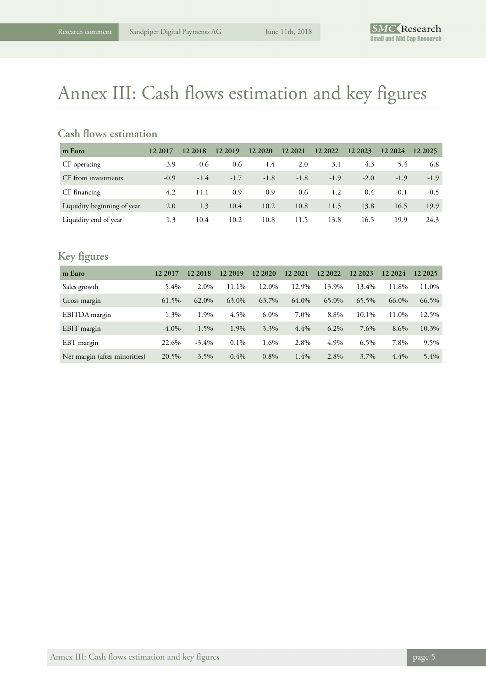# Annex III: Cash flows estimation and key figures

### **Cash flows estimation**

| m Euro                      | 12 2017 | 12 2018 | 12 2019 | 12 20 20 | 12 2021 | 12 2022 | 12 2023 | 12 2024 | 12 2025 |
|-----------------------------|---------|---------|---------|----------|---------|---------|---------|---------|---------|
| CF operating                | $-3.9$  | $-0.6$  | 0.6     | 1.4      | 2.0     | 3.1     | 4.3     | 5.4     | 6.8     |
| CF from investments         | $-0.9$  | $-1.4$  | $-1.7$  | $-1.8$   | $-1.8$  | $-1.9$  | $-2.0$  | $-1.9$  | $-1.9$  |
| CF financing                | 4.2     | 11.1    | 0.9     | 0.9      | 0.6     | 1.2     | 0.4     | $-0.1$  | $-0.5$  |
| Liquidity beginning of year | 2.0     | 1.3     | 10.4    | 10.2     | 10.8    | 11.5    | 13.8    | 16.5    | 19.9    |
| Liquidity end of year       | 1.3     | 10.4    | 10.2    | 10.8     | 11.5    | 13.8    | 16.5    | 19.9    | 24.3    |

### **Key figures**

| m Euro                        | 12 2017  | 12 2018  | 12 2019  | 12 20 20 | 12 2021 | 12 2022 | 12 2023 | 12 2024 | 12 2025 |
|-------------------------------|----------|----------|----------|----------|---------|---------|---------|---------|---------|
| Sales growth                  | $5.4\%$  | 2.0%     | 11.1%    | 12.0%    | 12.9%   | 13.9%   | 13.4%   | 11.8%   | 11.0%   |
| Gross margin                  | 61.5%    | 62.0%    | 63.0%    | 63.7%    | 64.0%   | 65.0%   | 65.5%   | 66.0%   | 66.5%   |
| EBITDA margin                 | 1.3%     | 1.9%     | 4.5%     | $6.0\%$  | 7.0%    | 8.8%    | 10.1%   | 11.0%   | 12.5%   |
| EBIT margin                   | $-4.0\%$ | $-1.5%$  | 1.9%     | 3.3%     | 4.4%    | $6.2\%$ | 7.6%    | 8.6%    | 10.3%   |
| EBT margin                    | 22.6%    | $-3.4\%$ | $0.1\%$  | 1.6%     | 2.8%    | 4.9%    | 6.5%    | 7.8%    | 9.5%    |
| Net margin (after minorities) | 20.5%    | $-3.5\%$ | $-0.4\%$ | $0.8\%$  | 1.4%    | 2.8%    | 3.7%    | 4.4%    | 5.4%    |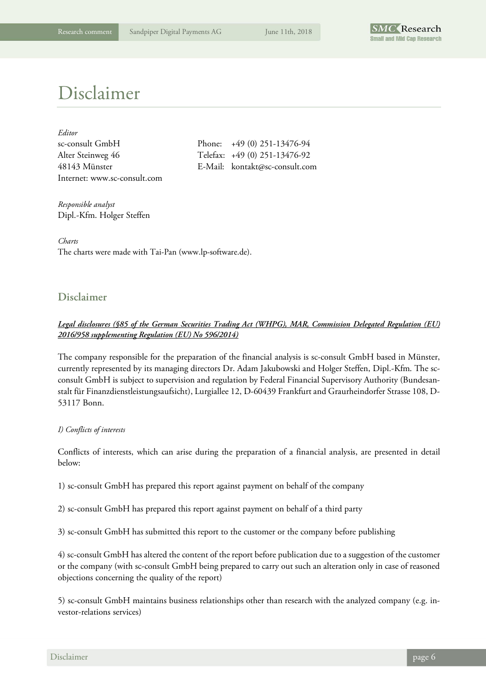

# Disclaimer

| Editor                       |
|------------------------------|
| sc-consult GmbH              |
| Alter Steinweg 46            |
| 48143 Münster                |
| Internet: www.sc-consult.com |

Phone:  $+49 (0) 251-13476-94$ Telefax: +49 (0) 251-13476-92 E-Mail: kontakt@sc-consult.com

*Responsible analyst*  Dipl.-Kfm. Holger Steffen

*Charts*  The charts were made with Tai-Pan (www.lp-software.de).

### **Disclaimer**

### *Legal disclosures (§85 of the German Securities Trading Act (WHPG), MAR, Commission Delegated Regulation (EU) 2016/958 supplementing Regulation (EU) No 596/2014)*

The company responsible for the preparation of the financial analysis is sc-consult GmbH based in Münster, currently represented by its managing directors Dr. Adam Jakubowski and Holger Steffen, Dipl.-Kfm. The scconsult GmbH is subject to supervision and regulation by Federal Financial Supervisory Authority (Bundesanstalt für Finanzdienstleistungsaufsicht), Lurgiallee 12, D-60439 Frankfurt and Graurheindorfer Strasse 108, D-53117 Bonn.

#### *I) Conflicts of interests*

Conflicts of interests, which can arise during the preparation of a financial analysis, are presented in detail below:

1) sc-consult GmbH has prepared this report against payment on behalf of the company

2) sc-consult GmbH has prepared this report against payment on behalf of a third party

3) sc-consult GmbH has submitted this report to the customer or the company before publishing

4) sc-consult GmbH has altered the content of the report before publication due to a suggestion of the customer or the company (with sc-consult GmbH being prepared to carry out such an alteration only in case of reasoned objections concerning the quality of the report)

5) sc-consult GmbH maintains business relationships other than research with the analyzed company (e.g. investor-relations services)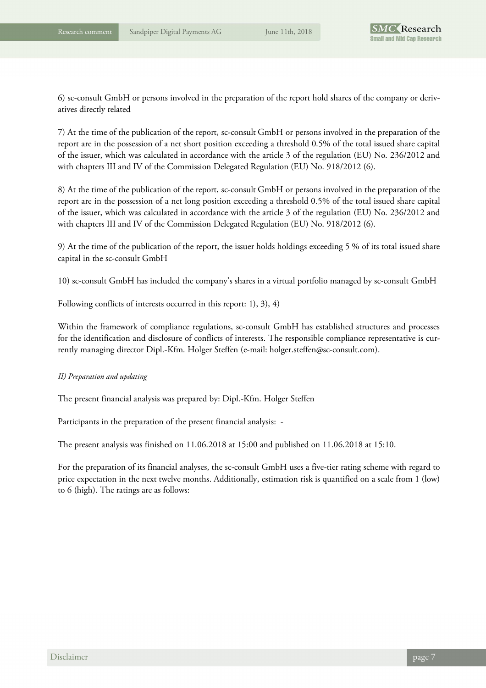6) sc-consult GmbH or persons involved in the preparation of the report hold shares of the company or derivatives directly related

7) At the time of the publication of the report, sc-consult GmbH or persons involved in the preparation of the report are in the possession of a net short position exceeding a threshold 0.5% of the total issued share capital of the issuer, which was calculated in accordance with the article 3 of the regulation (EU) No. 236/2012 and with chapters III and IV of the Commission Delegated Regulation (EU) No. 918/2012 (6).

8) At the time of the publication of the report, sc-consult GmbH or persons involved in the preparation of the report are in the possession of a net long position exceeding a threshold 0.5% of the total issued share capital of the issuer, which was calculated in accordance with the article 3 of the regulation (EU) No. 236/2012 and with chapters III and IV of the Commission Delegated Regulation (EU) No. 918/2012 (6).

9) At the time of the publication of the report, the issuer holds holdings exceeding 5 % of its total issued share capital in the sc-consult GmbH

10) sc-consult GmbH has included the company's shares in a virtual portfolio managed by sc-consult GmbH

Following conflicts of interests occurred in this report: 1), 3), 4)

Within the framework of compliance regulations, sc-consult GmbH has established structures and processes for the identification and disclosure of conflicts of interests. The responsible compliance representative is currently managing director Dipl.-Kfm. Holger Steffen (e-mail: holger.steffen@sc-consult.com).

#### *II) Preparation and updating*

The present financial analysis was prepared by: Dipl.-Kfm. Holger Steffen

Participants in the preparation of the present financial analysis: -

The present analysis was finished on 11.06.2018 at 15:00 and published on 11.06.2018 at 15:10.

For the preparation of its financial analyses, the sc-consult GmbH uses a five-tier rating scheme with regard to price expectation in the next twelve months. Additionally, estimation risk is quantified on a scale from 1 (low) to 6 (high). The ratings are as follows: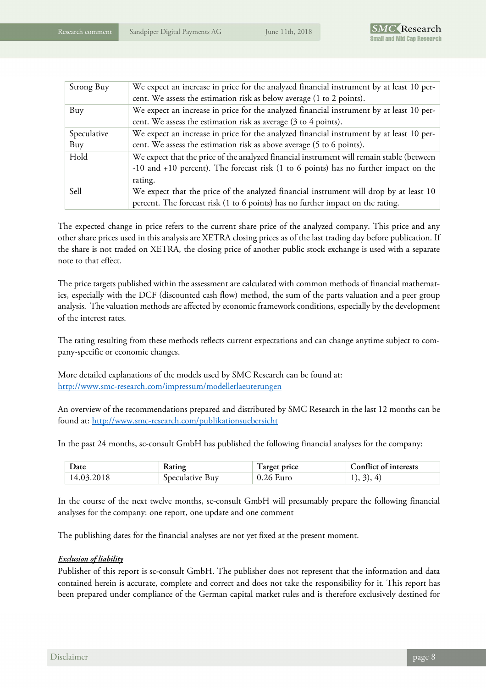| Strong Buy  | We expect an increase in price for the analyzed financial instrument by at least 10 per-<br>cent. We assess the estimation risk as below average (1 to 2 points). |
|-------------|-------------------------------------------------------------------------------------------------------------------------------------------------------------------|
| Buy         | We expect an increase in price for the analyzed financial instrument by at least 10 per-                                                                          |
|             | cent. We assess the estimation risk as average (3 to 4 points).                                                                                                   |
| Speculative | We expect an increase in price for the analyzed financial instrument by at least 10 per-                                                                          |
| Buy         | cent. We assess the estimation risk as above average (5 to 6 points).                                                                                             |
| Hold        | We expect that the price of the analyzed financial instrument will remain stable (between                                                                         |
|             | -10 and +10 percent). The forecast risk (1 to 6 points) has no further impact on the                                                                              |
|             | rating.                                                                                                                                                           |
| Sell        | We expect that the price of the analyzed financial instrument will drop by at least 10                                                                            |
|             | percent. The forecast risk (1 to 6 points) has no further impact on the rating.                                                                                   |

The expected change in price refers to the current share price of the analyzed company. This price and any other share prices used in this analysis are XETRA closing prices as of the last trading day before publication. If the share is not traded on XETRA, the closing price of another public stock exchange is used with a separate note to that effect.

The price targets published within the assessment are calculated with common methods of financial mathematics, especially with the DCF (discounted cash flow) method, the sum of the parts valuation and a peer group analysis. The valuation methods are affected by economic framework conditions, especially by the development of the interest rates.

The rating resulting from these methods reflects current expectations and can change anytime subject to company-specific or economic changes.

More detailed explanations of the models used by SMC Research can be found at: http://www.smc-research.com/impressum/modellerlaeuterungen

An overview of the recommendations prepared and distributed by SMC Research in the last 12 months can be found at: http://www.smc-research.com/publikationsuebersicht

In the past 24 months, sc-consult GmbH has published the following financial analyses for the company:

| $\bm{\mathcal{Q}}$ ate | <b>Kating</b>   | I arget price | <b>Conflict of interests</b> |
|------------------------|-----------------|---------------|------------------------------|
| 14.03.2018             | Speculative Buy | $0.26$ Euro   | $\mathcal{Z}$<br>4)<br>1, 3  |

In the course of the next twelve months, sc-consult GmbH will presumably prepare the following financial analyses for the company: one report, one update and one comment

The publishing dates for the financial analyses are not yet fixed at the present moment.

#### *Exclusion of liability*

Publisher of this report is sc-consult GmbH. The publisher does not represent that the information and data contained herein is accurate, complete and correct and does not take the responsibility for it. This report has been prepared under compliance of the German capital market rules and is therefore exclusively destined for